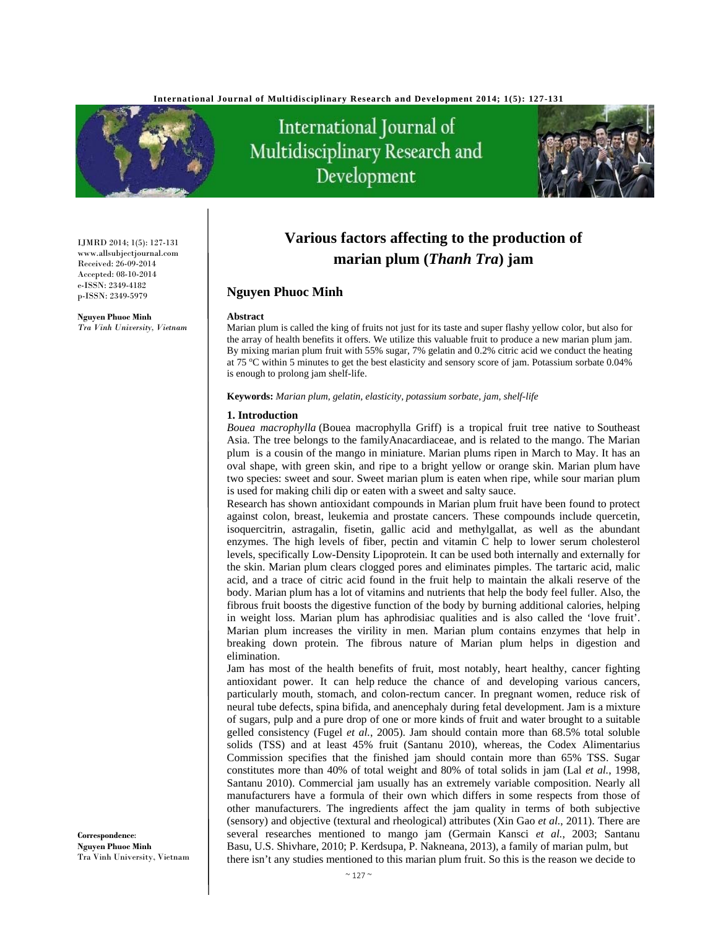

International Journal of Multidisciplinary Research and Development



IJMRD 2014; 1(5): 127-131 www.allsubjectjournal.com Received: 26-09-2014 Accepted: 08-10-2014 e-ISSN: 2349-4182 p-ISSN: 2349-5979

**Nguyen Phuoc Minh** *Tra Vinh University, Vietnam* 

# **Various factors affecting to the production of marian plum (***Thanh Tra***) jam**

# **Nguyen Phuoc Minh**

#### **Abstract**

Marian plum is called the king of fruits not just for its taste and super flashy yellow color, but also for the array of health benefits it offers. We utilize this valuable fruit to produce a new marian plum jam. By mixing marian plum fruit with 55% sugar, 7% gelatin and 0.2% citric acid we conduct the heating at 75 °C within 5 minutes to get the best elasticity and sensory score of jam. Potassium sorbate 0.04% is enough to prolong jam shelf-life.

**Keywords:** *Marian plum, gelatin, elasticity, potassium sorbate, jam, shelf-life* 

#### **1. Introduction**

*Bouea macrophylla* (Bouea macrophylla Griff) is a tropical fruit tree native to Southeast Asia. The tree belongs to the familyAnacardiaceae, and is related to the mango. The Marian plum is a cousin of the mango in miniature. Marian plums ripen in March to May. It has an oval shape, with green skin, and ripe to a bright yellow or orange skin. Marian plum have two species: sweet and sour. Sweet marian plum is eaten when ripe, while sour marian plum is used for making chili dip or eaten with a sweet and salty sauce.

Research has shown antioxidant compounds in Marian plum fruit have been found to protect against colon, breast, leukemia and prostate cancers. These compounds include quercetin, isoquercitrin, astragalin, fisetin, gallic acid and methylgallat, as well as the abundant enzymes. The high levels of fiber, pectin and vitamin C help to lower serum cholesterol levels, specifically Low-Density Lipoprotein. It can be used both internally and externally for the skin. Marian plum clears clogged pores and eliminates pimples. The tartaric acid, malic acid, and a trace of citric acid found in the fruit help to maintain the alkali reserve of the body. Marian plum has a lot of vitamins and nutrients that help the body feel fuller. Also, the fibrous fruit boosts the digestive function of the body by burning additional calories, helping in weight loss. Marian plum has aphrodisiac qualities and is also called the 'love fruit'. Marian plum increases the virility in men. Marian plum contains enzymes that help in breaking down protein. The fibrous nature of Marian plum helps in digestion and elimination.

Jam has most of the health benefits of fruit, most notably, heart healthy, cancer fighting antioxidant power. It can help reduce the chance of and developing various cancers, particularly mouth, stomach, and colon-rectum cancer. In pregnant women, reduce risk of neural tube defects, spina bifida, and anencephaly during fetal development. Jam is a mixture of sugars, pulp and a pure drop of one or more kinds of fruit and water brought to a suitable gelled consistency (Fugel *et al.*, 2005). Jam should contain more than 68.5% total soluble solids (TSS) and at least 45% fruit (Santanu 2010), whereas, the Codex Alimentarius Commission specifies that the finished jam should contain more than 65% TSS. Sugar constitutes more than 40% of total weight and 80% of total solids in jam (Lal *et al.*, 1998, Santanu 2010). Commercial jam usually has an extremely variable composition. Nearly all manufacturers have a formula of their own which differs in some respects from those of other manufacturers. The ingredients affect the jam quality in terms of both subjective (sensory) and objective (textural and rheological) attributes (Xin Gao *et al.*, 2011). There are several researches mentioned to mango jam (Germain Kansci *et al.*, 2003; Santanu Basu, U.S. Shivhare, 2010; P. Kerdsupa, P. Nakneana, 2013), a family of marian pulm, but there isn't any studies mentioned to this marian plum fruit. So this is the reason we decide to

**Correspondence**: **Nguyen Phuoc Minh** Tra Vinh University, Vietnam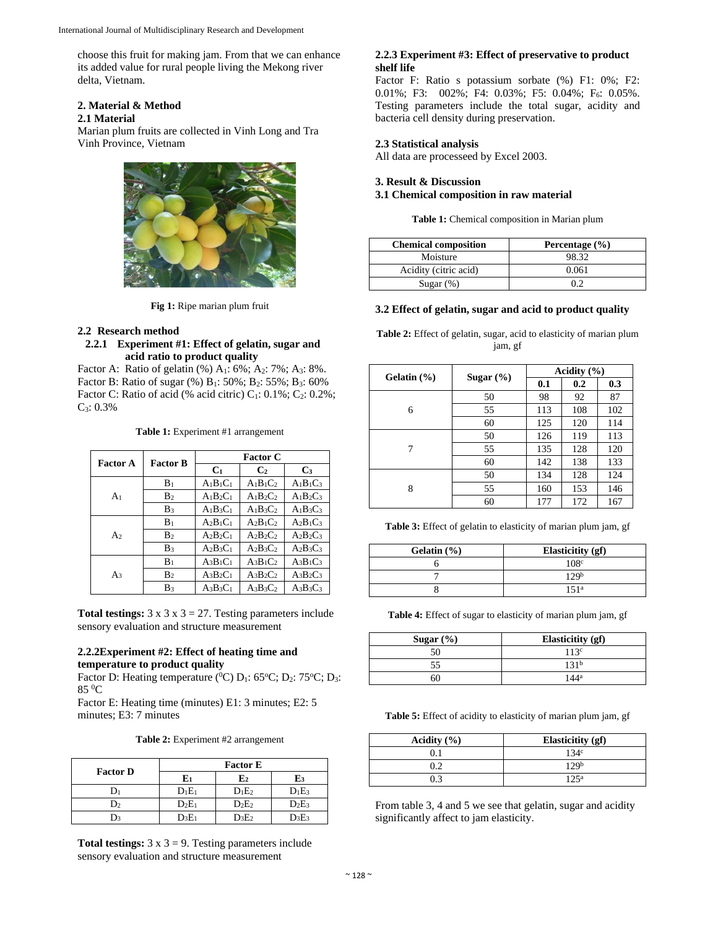choose this fruit for making jam. From that we can enhance its added value for rural people living the Mekong river delta, Vietnam.

# **2. Material & Method**

### **2.1 Material**

Marian plum fruits are collected in Vinh Long and Tra Vinh Province, Vietnam



**Fig 1:** Ripe marian plum fruit

## **2.2 Research method**

#### **2.2.1 Experiment #1: Effect of gelatin, sugar and acid ratio to product quality**

Factor A: Ratio of gelatin  $(\%)$  A<sub>1</sub>: 6%; A<sub>2</sub>: 7%; A<sub>3</sub>: 8%. Factor B: Ratio of sugar (%) B<sub>1</sub>: 50%; B<sub>2</sub>: 55%; B<sub>3</sub>: 60% Factor C: Ratio of acid (% acid citric)  $C_1$ : 0.1%;  $C_2$ : 0.2%;  $C_3$ : 0.3%

**Table 1:** Experiment #1 arrangement

| <b>Factor B</b><br>Factor A |                | <b>Factor C</b> |                |             |
|-----------------------------|----------------|-----------------|----------------|-------------|
|                             |                | C <sub>1</sub>  | C <sub>2</sub> | $C_3$       |
|                             | $B_1$          | $A1B1C1$        | $A1B1C2$       | $A_1B_1C_3$ |
| A <sub>1</sub>              | B <sub>2</sub> | $A_1B_2C_1$     | $A_1B_2C_2$    | $A_1B_2C_3$ |
|                             | $B_3$          | $A_1B_3C_1$     | $A_1B_3C_2$    | $A_1B_3C_3$ |
| A <sub>2</sub>              | B <sub>1</sub> | $A_2B_1C_1$     | $A_2B_1C_2$    | $A_2B_1C_3$ |
|                             | B <sub>2</sub> | $A_2B_2C_1$     | $A_2B_2C_2$    | $A_2B_2C_3$ |
|                             | $B_3$          | $A_2B_3C_1$     | $A_2B_3C_2$    | $A_2B_3C_3$ |
| Aз                          | $B_1$          | $A_3B_1C_1$     | $A_3B_1C_2$    | $A_3B_1C_3$ |
|                             | B <sub>2</sub> | $A_3B_2C_1$     | $A_3B_2C_2$    | $A_3B_2C_3$ |
|                             | B <sub>3</sub> | $A_3B_3C_1$     | $A_3B_3C_2$    | $A_3B_3C_3$ |

**Total testings:**  $3 \times 3 \times 3 = 27$ . Testing parameters include sensory evaluation and structure measurement

## **2.2.2Experiment #2: Effect of heating time and temperature to product quality**

Factor D: Heating temperature ( ${}^{0}C$ ) D<sub>1</sub>: 65 ${}^{0}C$ ; D<sub>2</sub>: 75 ${}^{0}C$ ; D<sub>3</sub>: 85 0 C

Factor E: Heating time (minutes) E1: 3 minutes; E2: 5 minutes; E3: 7 minutes

|  | <b>Table 2:</b> Experiment #2 arrangement |  |
|--|-------------------------------------------|--|
|--|-------------------------------------------|--|

| <b>Factor D</b> | <b>Factor E</b> |             |          |  |
|-----------------|-----------------|-------------|----------|--|
|                 |                 | ${\bf E_2}$ | E3       |  |
|                 | $D_1E_1$        | $D_1E_2$    | $D_1E_3$ |  |
| $\mathcal{Y}_2$ | $D_2E_1$        | $D_2E_2$    | $D_2E_3$ |  |
|                 | $\rm{D}_3E_1$   | $D_3E_2$    | $D_3E_3$ |  |

**Total testings:**  $3 \times 3 = 9$ . Testing parameters include sensory evaluation and structure measurement

## **2.2.3 Experiment #3: Effect of preservative to product shelf life**

Factor F: Ratio s potassium sorbate (%) F1: 0%; F2: 0.01%; F3: 002%; F4: 0.03%; F5: 0.04%; F<sub>6</sub>: 0.05%. Testing parameters include the total sugar, acidity and bacteria cell density during preservation.

# **2.3 Statistical analysis**

All data are processeed by Excel 2003.

# **3. Result & Discussion 3.1 Chemical composition in raw material**

**Table 1:** Chemical composition in Marian plum

| <b>Chemical composition</b> | Percentage $(\% )$ |
|-----------------------------|--------------------|
| Moisture                    | 98.32              |
| Acidity (citric acid)       | 0.061              |
| Sugar $(\%)$                | 0.2                |

## **3.2 Effect of gelatin, sugar and acid to product quality**

**Table 2:** Effect of gelatin, sugar, acid to elasticity of marian plum jam, gf

|                 |               |     | Acidity (%) |     |
|-----------------|---------------|-----|-------------|-----|
| Gelatin $(\% )$ | Sugar $(\% )$ | 0.1 | 0.2         | 0.3 |
|                 | 50            | 98  | 92          | 87  |
| 6               | 55            | 113 | 108         | 102 |
|                 | 60            | 125 | 120         | 114 |
|                 | 50            | 126 | 119         | 113 |
| 7               | 55            | 135 | 128         | 120 |
|                 | 60            | 142 | 138         | 133 |
|                 | 50            | 134 | 128         | 124 |
| 8               | 55            | 160 | 153         | 146 |
|                 | 60            | 177 | 172         | 167 |

**Table 3:** Effect of gelatin to elasticity of marian plum jam, gf

| Gelatin $(\% )$ | <b>Elasticitity</b> (gf) |
|-----------------|--------------------------|
|                 | 108 <sup>c</sup>         |
|                 | 129 <sup>b</sup>         |
|                 | 151 <sup>a</sup>         |

**Table 4:** Effect of sugar to elasticity of marian plum jam, gf

| Sugar $(\% )$ | Elasticitity (gf) |
|---------------|-------------------|
|               | 113c              |
| 55            | 131 <sup>b</sup>  |
|               | $144^a$           |

**Table 5:** Effect of acidity to elasticity of marian plum jam, gf

| Acidity $(\% )$ | <b>Elasticitity</b> (gf) |
|-----------------|--------------------------|
| $^{\circ}$ 1    | 134 <sup>c</sup>         |
| 0.2             | 129 <sup>b</sup>         |
| በ 3             | $125^a$                  |

From table 3, 4 and 5 we see that gelatin, sugar and acidity significantly affect to jam elasticity.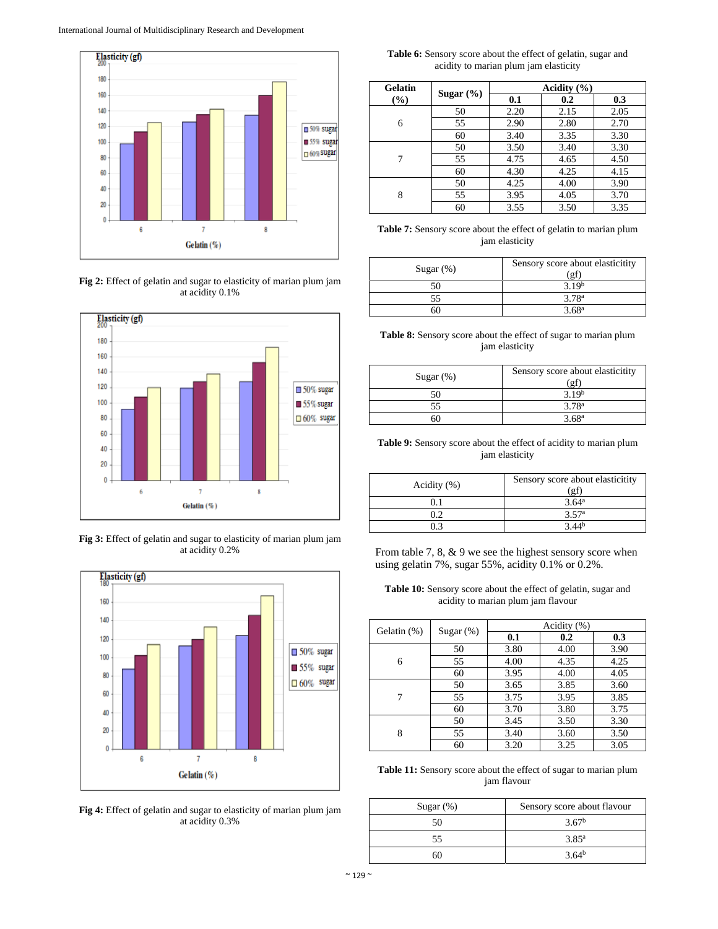

**Fig 2:** Effect of gelatin and sugar to elasticity of marian plum jam at acidity 0.1%



**Fig 3:** Effect of gelatin and sugar to elasticity of marian plum jam at acidity 0.2%



**Fig 4:** Effect of gelatin and sugar to elasticity of marian plum jam at acidity 0.3%

**Table 6:** Sensory score about the effect of gelatin, sugar and acidity to marian plum jam elasticity

| <b>Gelatin</b> |               |      | Acidity $(\% )$ |      |  |
|----------------|---------------|------|-----------------|------|--|
| (%)            | Sugar $(\% )$ | 0.1  | 0.2             | 0.3  |  |
|                | 50            | 2.20 | 2.15            | 2.05 |  |
| 6              | 55            | 2.90 | 2.80            | 2.70 |  |
|                | 60            | 3.40 | 3.35            | 3.30 |  |
|                | 50            | 3.50 | 3.40            | 3.30 |  |
|                | 55            | 4.75 | 4.65            | 4.50 |  |
|                | 60            | 4.30 | 4.25            | 4.15 |  |
| 8              | 50            | 4.25 | 4.00            | 3.90 |  |
|                | 55            | 3.95 | 4.05            | 3.70 |  |
|                | 60            | 3.55 | 3.50            | 3.35 |  |

**Table 7:** Sensory score about the effect of gelatin to marian plum jam elasticity

| Sugar $(\%)$ | Sensory score about elasticitity<br>'gi |
|--------------|-----------------------------------------|
|              | 3.19 <sup>b</sup>                       |
| 55           | 3.78 <sup>a</sup>                       |
| эU           | 3.68 <sup>a</sup>                       |

**Table 8:** Sensory score about the effect of sugar to marian plum jam elasticity

| Sugar $(\%)$ | Sensory score about elasticitity<br>(gf |
|--------------|-----------------------------------------|
|              | 3.19 <sup>b</sup>                       |
|              | 3.78 <sup>a</sup>                       |
|              | 3.68 <sup>a</sup>                       |

**Table 9:** Sensory score about the effect of acidity to marian plum jam elasticity

| Acidity $(\%)$ | Sensory score about elasticitity<br>(gf |
|----------------|-----------------------------------------|
| 0.1            | 3.64 <sup>a</sup>                       |
| 0.2            | 3.57 <sup>a</sup>                       |
|                |                                         |

From table 7, 8, & 9 we see the highest sensory score when using gelatin 7%, sugar 55%, acidity 0.1% or 0.2%.

**Table 10:** Sensory score about the effect of gelatin, sugar and acidity to marian plum jam flavour

| Gelatin (%) | Sugar $(\%)$ | Acidity (%) |      |      |  |
|-------------|--------------|-------------|------|------|--|
|             |              | 0.1         | 0.2  | 0.3  |  |
|             | 50           | 3.80        | 4.00 | 3.90 |  |
| 6           | 55           | 4.00        | 4.35 | 4.25 |  |
|             | 60           | 3.95        | 4.00 | 4.05 |  |
| 7           | 50           | 3.65        | 3.85 | 3.60 |  |
|             | 55           | 3.75        | 3.95 | 3.85 |  |
|             | 60           | 3.70        | 3.80 | 3.75 |  |
| 8           | 50           | 3.45        | 3.50 | 3.30 |  |
|             | 55           | 3.40        | 3.60 | 3.50 |  |
|             | 60           | 3.20        | 3.25 | 3.05 |  |

**Table 11:** Sensory score about the effect of sugar to marian plum jam flavour

| Sugar $(\%)$ | Sensory score about flavour |  |  |
|--------------|-----------------------------|--|--|
| 50           | 3.67 <sup>b</sup>           |  |  |
| 55           | $3.85^{\rm a}$              |  |  |
|              | $3.64^{b}$                  |  |  |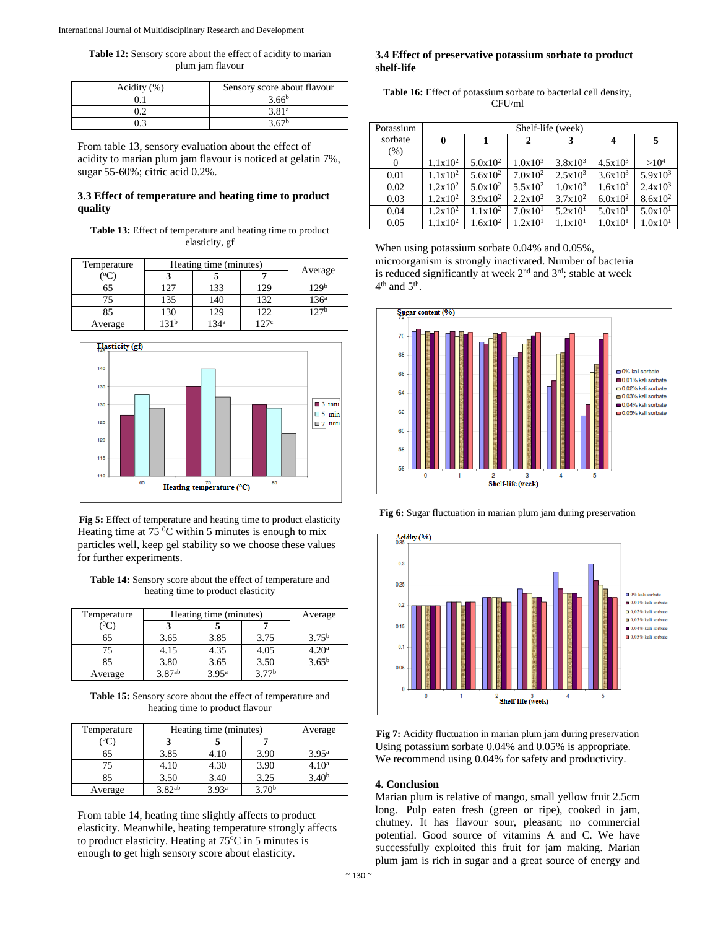**Table 12:** Sensory score about the effect of acidity to marian plum jam flavour

| Acidity (%) | Sensory score about flavour |  |  |
|-------------|-----------------------------|--|--|
|             | 3.66 <sup>b</sup>           |  |  |
| ገባ          | 3.81 <sup>a</sup>           |  |  |
|             | 2.67 <sub>b</sub>           |  |  |

From table 13, sensory evaluation about the effect of acidity to marian plum jam flavour is noticed at gelatin 7%, sugar 55-60%; citric acid 0.2%.

#### **3.3 Effect of temperature and heating time to product quality**

**Table 13:** Effect of temperature and heating time to product elasticity, gf

| Temperature | Heating time (minutes) |                  |      |                  |  |
|-------------|------------------------|------------------|------|------------------|--|
|             |                        |                  |      | Average          |  |
| 65          | 127                    | 133              | 129  | 129 <sup>b</sup> |  |
|             | 135                    | 140              | 132  | 136 <sup>a</sup> |  |
| 85          | 130                    | 129              | 122  | 127 <sub>b</sub> |  |
| Average     | 21 <sub>b</sub>        | 134 <sup>a</sup> | 1970 |                  |  |



**Fig 5:** Effect of temperature and heating time to product elasticity Heating time at 75 $\mathrm{^{0}C}$  within 5 minutes is enough to mix particles well, keep gel stability so we choose these values for further experiments.

**Table 14:** Sensory score about the effect of temperature and heating time to product elasticity

| Temperature | Heating time (minutes) |                   |                   | Average           |
|-------------|------------------------|-------------------|-------------------|-------------------|
|             |                        |                   |                   |                   |
| 65          | 3.65                   | 3.85              | 3.75              | $3.75^{\rm b}$    |
| 75          | 4.15                   | 4.35              | 4.05              | 4.20 <sup>a</sup> |
| 85          | 3.80                   | 3.65              | 3.50              | $3.65^{\rm b}$    |
| Average     | 3 87ab                 | 3.95 <sup>a</sup> | 3.77 <sup>b</sup> |                   |

**Table 15:** Sensory score about the effect of temperature and heating time to product flavour

| Temperature | Heating time (minutes) |                   |                   | Average           |
|-------------|------------------------|-------------------|-------------------|-------------------|
|             |                        |                   |                   |                   |
| 65          | 3.85                   | 4.10              | 3.90              | 3.95 <sup>a</sup> |
| 75          | 4.10                   | 4.30              | 3.90              | 4.10ª             |
| 85          | 3.50                   | 3.40              | 3.25              |                   |
| Average     | 3.82ab                 | 3.93 <sup>a</sup> | 3.70 <sup>b</sup> |                   |

From table 14, heating time slightly affects to product elasticity. Meanwhile, heating temperature strongly affects to product elasticity. Heating at  $75^{\circ}$ C in 5 minutes is enough to get high sensory score about elasticity.

#### **3.4 Effect of preservative potassium sorbate to product shelf-life**

| <b>Table 16:</b> Effect of potassium sorbate to bacterial cell density, |
|-------------------------------------------------------------------------|
| CFU/ml                                                                  |

| Potassium | Shelf-life (week)   |                     |                     |                     |              |                     |
|-----------|---------------------|---------------------|---------------------|---------------------|--------------|---------------------|
| sorbate   | $\mathbf{0}$        | 1                   | 2                   | 3                   | 4            | 5                   |
| (% )      |                     |                     |                     |                     |              |                     |
| 0         | $1.1x10^2$          | $5.0x10^2$          | $1.0x10^3$          | $3.8x10^3$          | $4.5x10^{3}$ | >10 <sup>4</sup>    |
| 0.01      | $1.1x10^2$          | $5.6x10^2$          | $7.0x10^2$          | $2.5x10^3$          | $3.6x10^{3}$ | $5.9x10^3$          |
| 0.02      | $1.2x10^2$          | $5.0x10^2$          | $5.5x10^2$          | $1.0x10^3$          | $1.6x10^{3}$ | $2.4x10^3$          |
| 0.03      | $1.2x10^2$          | $3.9x10^2$          | $2.2x10^2$          | $3.7 \times 10^{2}$ | $6.0x10^2$   | $8.6x10^2$          |
| 0.04      | $1.2x10^2$          | $1.1 \times 10^{2}$ | 7.0x10 <sup>1</sup> | 5.2x10 <sup>1</sup> | 5.0x101      | 5.0x101             |
| 0.05      | $1.1 \times 10^{2}$ | $1.6x10^2$          | 1.2x10 <sup>1</sup> | $1.1 \times 10^{1}$ | 1.0x101      | 1.0x10 <sup>1</sup> |

When using potassium sorbate 0.04% and 0.05%, microorganism is strongly inactivated. Number of bacteria is reduced significantly at week  $2<sup>nd</sup>$  and  $3<sup>rd</sup>$ ; stable at week  $4<sup>th</sup>$  and  $5<sup>th</sup>$ .



**Fig 6:** Sugar fluctuation in marian plum jam during preservation



**Fig 7:** Acidity fluctuation in marian plum jam during preservation Using potassium sorbate 0.04% and 0.05% is appropriate. We recommend using 0.04% for safety and productivity.

#### **4. Conclusion**

Marian plum is relative of mango, small yellow fruit 2.5cm long. Pulp eaten fresh (green or ripe), cooked in jam, chutney. It has flavour sour, pleasant; no commercial potential. Good source of vitamins A and C. We have successfully exploited this fruit for jam making. Marian plum jam is rich in sugar and a great source of energy and